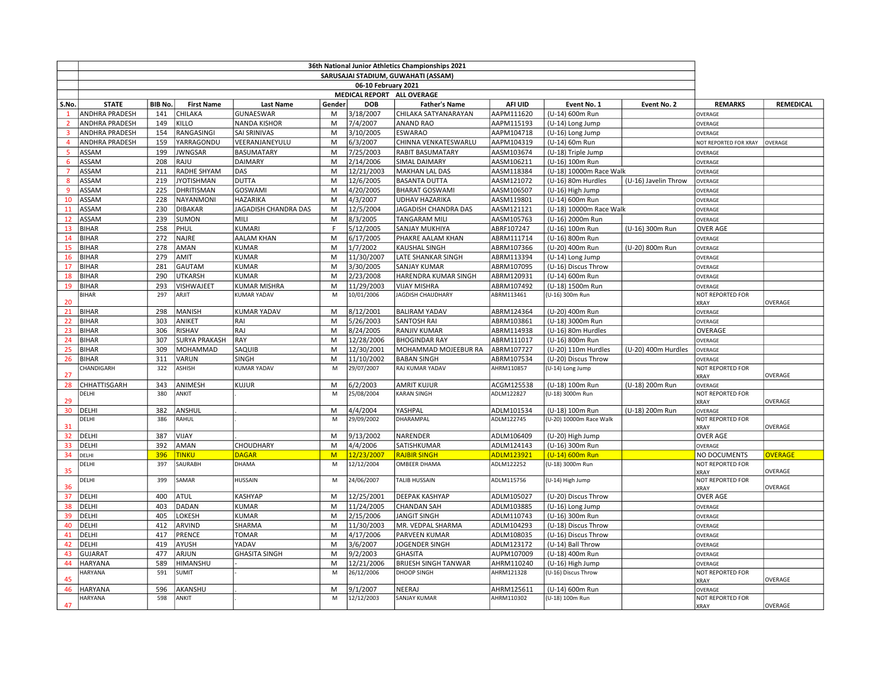|                | 36th National Junior Athletics Championships 2021 |               |                          |                                     |        |                          |                                            |                          |                                         |                      |                                 |                  |
|----------------|---------------------------------------------------|---------------|--------------------------|-------------------------------------|--------|--------------------------|--------------------------------------------|--------------------------|-----------------------------------------|----------------------|---------------------------------|------------------|
|                | SARUSAJAI STADIUM, GUWAHATI (ASSAM)               |               |                          |                                     |        |                          |                                            |                          |                                         |                      |                                 |                  |
|                | 06-10 February 2021                               |               |                          |                                     |        |                          |                                            |                          |                                         |                      |                                 |                  |
|                | MEDICAL REPORT ALL OVERAGE                        |               |                          |                                     |        |                          |                                            |                          |                                         |                      |                                 |                  |
| S.No.          | <b>STATE</b>                                      | <b>BIB No</b> | <b>First Name</b>        | <b>Last Name</b>                    | Gender | <b>DOB</b>               | <b>Father's Name</b>                       | AFI UID                  | Event No. 1                             | Event No. 2          | <b>REMARKS</b>                  | <b>REMEDICAL</b> |
| $\mathbf{1}$   | ANDHRA PRADESH                                    | 141           | CHILAKA                  | GUNAESWAR                           | M      | 3/18/2007                | CHILAKA SATYANARAYAN                       | AAPM111620               | (U-14) 600m Run                         |                      | OVERAGE                         |                  |
| $\overline{2}$ | <b>ANDHRA PRADESH</b>                             | 149           | <b>KILLO</b>             | <b>NANDA KISHOR</b>                 | M      | 7/4/2007                 | ANAND RAO                                  | AAPM115193               | (U-14) Long Jump                        |                      | OVERAGE                         |                  |
| $\overline{3}$ | <b>ANDHRA PRADESH</b>                             | 154           | RANGASINGI               | SAI SRINIVAS                        | M      | 3/10/2005                | <b>ESWARAO</b>                             | AAPM104718               | (U-16) Long Jump                        |                      | OVERAGE                         |                  |
| $\overline{4}$ | <b>ANDHRA PRADESH</b>                             | 159           | YARRAGONDU               | VEERANJANEYULU                      | M      | 6/3/2007                 | CHINNA VENKATESWARLU                       | AAPM104319               | (U-14) 60m Run                          |                      | NOT REPORTED FOR XRAY           | OVERAGE          |
| 5<br>6         | ASSAM<br>ASSAM                                    | 199<br>208    | <b>JWNGSAR</b><br>RAJU   | <b>BASUMATARY</b><br><b>DAIMARY</b> | M<br>M | 7/25/2003<br>2/14/2006   | <b>RABIT BASUMATARY</b><br>SIMAL DAIMARY   | AASM103674<br>AASM106211 | (U-18) Triple Jump<br>(U-16) 100m Run   |                      | OVERAGE                         |                  |
| 7              | ASSAM                                             | 211           | RADHE SHYAM              | DAS                                 | M      | 12/21/2003               | <b>MAKHAN LAL DAS</b>                      | AASM118384               | (U-18) 10000m Race Walk                 |                      | OVERAGE<br>OVERAGE              |                  |
| 8              | ASSAM                                             | 219           | <b>JYOTISHMAN</b>        | <b>DUTTA</b>                        | M      | 12/6/2005                | <b>BASANTA DUTTA</b>                       | AASM121072               | (U-16) 80m Hurdles                      | (U-16) Javelin Throw | OVERAGE                         |                  |
| 9              | ASSAM                                             | 225           | DHRITISMAN               | GOSWAMI                             | M      | 4/20/2005                | <b>BHARAT GOSWAMI</b>                      | AASM106507               | (U-16) High Jump                        |                      | OVERAGE                         |                  |
| 10             | <b>ASSAM</b>                                      | 228           | NAYANMONI                | <b>HAZARIKA</b>                     | M      | 4/3/2007                 | UDHAV HAZARIKA                             | AASM119801               | (U-14) 600m Run                         |                      | OVERAGE                         |                  |
| 11             | ASSAM                                             | 230           | <b>DIBAKAR</b>           | JAGADISH CHANDRA DAS                | M      | 12/5/2004                | JAGADISH CHANDRA DAS                       | AASM121121               | (U-18) 10000m Race Walk                 |                      | OVERAGE                         |                  |
| 12             | ASSAM                                             | 239           | <b>SUMON</b>             | <b>MILI</b>                         | M      | 8/3/2005                 | <b>TANGARAM MILI</b>                       | AASM105763               | (U-16) 2000m Run                        |                      | OVERAGE                         |                  |
| 13             | <b>BIHAR</b>                                      | 258           | PHUL                     | KUMARI                              | F.     | 5/12/2005                | SANJAY MUKHIYA                             | ABRF107247               | (U-16) 100m Run                         | (U-16) 300m Run      | <b>OVER AGE</b>                 |                  |
| 14             | <b>BIHAR</b>                                      | 272           | <b>NAJRE</b>             | <b>AALAM KHAN</b>                   | M      | 6/17/2005                | PHAKRE AALAM KHAN                          | ABRM111714               | (U-16) 800m Run                         |                      | OVERAGE                         |                  |
| 15             | <b>BIHAR</b>                                      | 278           | AMAN                     | <b>KUMAR</b>                        | M      | 1/7/2002                 | <b>KAUSHAL SINGH</b>                       | ABRM107366               | (U-20) 400m Run                         | (U-20) 800m Run      | OVERAGE                         |                  |
| 16             | <b>BIHAR</b>                                      | 279           | TIMA                     | <b>KUMAR</b>                        | M      | 11/30/2007               | LATE SHANKAR SINGH                         | ABRM113394               | (U-14) Long Jump                        |                      | OVERAGE                         |                  |
| 17             | <b>BIHAR</b>                                      | 281           | GAUTAM                   | <b>KUMAR</b>                        | M      | 3/30/2005                | SANJAY KUMAR                               | ABRM107095               | (U-16) Discus Throw                     |                      | OVERAGE                         |                  |
| 18             | <b>BIHAR</b>                                      | 290           | UTKARSH                  | <b>KUMAR</b>                        | M      | 2/23/2008                | HARENDRA KUMAR SINGH                       | ABRM120931               | (U-14) 600m Run                         |                      | OVERAGE                         |                  |
| 19             | BIHAR                                             | 293           | VISHWAJEET               | KUMAR MISHRA                        | M      | 11/29/2003               | <b>VIJAY MISHRA</b>                        | ABRM107492               | (U-18) 1500m Run                        |                      | OVERAGE                         |                  |
| 20             | <b>BIHAR</b>                                      | 297           | ARJIT                    | <b>KUMAR YADAV</b>                  | M      | 10/01/2006               | <b>JAGDISH CHAUDHARY</b>                   | ABRM113461               | (U-16) 300m Run                         |                      | NOT REPORTED FOR<br>XRAY        | OVERAGE          |
| 21             | <b>BIHAR</b>                                      | 298           | MANISH                   | <b>KUMAR YADAV</b>                  | M      | 8/12/2001                | <b>BALIRAM YADAV</b>                       | ABRM124364               | (U-20) 400m Run                         |                      | OVERAGE                         |                  |
| 22             | <b>BIHAR</b>                                      | 303           | ANIKET                   | RAI                                 | M      | 5/26/2003                | SANTOSH RAI                                | ABRM103861               | (U-18) 3000m Run                        |                      | OVERAGE                         |                  |
| 23             | <b>BIHAR</b>                                      | 306           | RISHAV                   | RAJ                                 | M      | 8/24/2005                | RANJIV KUMAR                               | ABRM114938               | (U-16) 80m Hurdles                      |                      | OVERAGE                         |                  |
| 24             | <b>BIHAR</b>                                      | 307           | <b>SURYA PRAKASH</b>     | RAY                                 | M      | 12/28/2006               | <b>BHOGINDAR RAY</b>                       | ABRM111017               | (U-16) 800m Run                         |                      | OVERAGE                         |                  |
| 25             | <b>BIHAR</b>                                      | 309           | MOHAMMAD                 | SAQUIB                              | М      | 12/30/2001               | MOHAMMAD MOJEEBUR RA                       | ABRM107727               | (U-20) 110m Hurdles                     | (U-20) 400m Hurdles  | OVERAGE                         |                  |
| 26             | <b>BIHAR</b>                                      | 311           | VARUN                    | <b>SINGH</b>                        | M      | 11/10/2002               | <b>BABAN SINGH</b>                         | ABRM107534               | (U-20) Discus Throw                     |                      | OVERAGE                         |                  |
| 27             | CHANDIGARH                                        | 322           | ASHISH                   | <b>KUMAR YADAV</b>                  | M      | 29/07/2007               | RAJ KUMAR YADAV                            | AHRM110857               | (U-14) Long Jump                        |                      | NOT REPORTED FOR<br>XRAY        | OVERAGE          |
| 28             | CHHATTISGARH                                      | 343           | ANIMESH                  | <b>KUJUR</b>                        | M      | 6/2/2003                 | <b>AMRIT KUJUR</b>                         | ACGM125538               | (U-18) 100m Run                         | (U-18) 200m Run      | OVERAGE                         |                  |
| 29             | DELHI                                             | 380           | ANKIT                    |                                     | M      | 25/08/2004               | <b>KARAN SINGH</b>                         | ADLM122827               | (U-18) 3000m Run                        |                      | NOT REPORTED FOR<br>XRAY        | OVERAGE          |
| 30             | DELHI                                             | 382           | ANSHUL                   |                                     | M      | 4/4/2004                 | YASHPAL                                    | ADLM101534               | (U-18) 100m Run                         | (U-18) 200m Run      | OVERAGE                         |                  |
| 31             | DELHI                                             | 386           | RAHUL                    |                                     | M      | 29/09/2002               | DHARAMPAL                                  | ADLM122745               | (U-20) 10000m Race Walk                 |                      | NOT REPORTED FOR<br>XRAY        | OVERAGE          |
| 32             | DELHI                                             | 387           | VIJAY                    |                                     | M      | 9/13/2002                | NARENDER                                   | ADLM106409               | (U-20) High Jump                        |                      | <b>OVER AGE</b>                 |                  |
| 33             | DELHI                                             | 392           | AMAN                     | CHOUDHARY                           | M      | 4/4/2006                 | SATISHKUMAR                                | ADLM124143               | (U-16) 300m Run                         |                      | OVERAGE                         |                  |
| 34             | DELHI                                             | 396           | <b>TINKU</b>             | <b>DAGAR</b>                        | M      | 12/23/2007               | <b>RAJBIR SINGH</b>                        | ADLM123921               | (U-14) 600m Run                         |                      | NO DOCUMENTS                    | <b>OVERAGE</b>   |
| 35             | DELHI                                             | 397           | SAURABH                  | <b>DHAMA</b>                        | M      | 12/12/2004               | <b>OMBEER DHAMA</b>                        | ADLM122252               | (U-18) 3000m Run                        |                      | NOT REPORTED FOR<br>XRAY        | OVERAGE          |
| 36             | DELHI                                             | 399           | SAMAR                    | HUSSAIN                             | М      | 24/06/2007               | <b>TALIB HUSSAIN</b>                       | ADLM115756               | (U-14) High Jump                        |                      | NOT REPORTED FOR<br><b>XRAY</b> | OVERAGE          |
| 37             | DELHI                                             | 400           | <b>ATUL</b>              | <b>KASHYAP</b>                      | M      | 12/25/2001               | <b>DEEPAK KASHYAP</b>                      | ADLM105027               | (U-20) Discus Throw                     |                      | <b>OVER AGE</b>                 |                  |
| 38             | DELHI                                             | 403           | <b>DADAN</b>             | <b>KUMAR</b>                        | M      | 11/24/2005               | <b>CHANDAN SAH</b>                         | ADLM103885               | (U-16) Long Jump                        |                      | OVERAGE                         |                  |
| 39             | DELHI                                             | 405           | LOKESH                   | <b>KUMAR</b>                        | M      | 2/15/2006                | JANGIT SINGH                               | ADLM110743               | (U-16) 300m Run                         |                      | OVERAGE                         |                  |
| 40             | DELHI                                             | 412           | ARVIND                   | SHARMA                              | M      | 11/30/2003               | MR. VEDPAL SHARMA                          | ADLM104293               | (U-18) Discus Throw                     |                      | OVERAGE                         |                  |
| 41             | DELHI                                             | 417           | PRENCE                   | <b>TOMAR</b>                        | M      | 4/17/2006                | PARVEEN KUMAR                              | ADLM108035               | (U-16) Discus Throw                     |                      | OVERAGE                         |                  |
| 42             | DELHI                                             | 419           | AYUSH                    | YADAV                               | М      | 3/6/2007                 | JOGENDER SINGH                             | ADLM123172               | (U-14) Ball Throw                       |                      | OVERAGE                         |                  |
| 43             | <b>GUJARAT</b>                                    | 477           | ARJUN                    | <b>GHASITA SINGH</b>                | M      | 9/2/2003                 | <b>GHASITA</b>                             | AUPM107009               | (U-18) 400m Run                         |                      | OVERAGE                         |                  |
| 44             | HARYANA<br><b>HARYANA</b>                         | 589<br>591    | HIMANSHU<br><b>SUMIT</b> |                                     | М<br>M | 12/21/2006<br>26/12/2006 | BRIJESH SINGH TANWAR<br><b>DHOOP SINGH</b> | AHRM110240<br>AHRM121328 | (U-16) High Jump<br>(U-16) Discus Throw |                      | OVERAGE<br>NOT REPORTED FOR     |                  |
| 45             |                                                   |               |                          |                                     |        |                          |                                            |                          |                                         |                      | XRAY                            | OVERAGE          |
| 46             | <b>HARYANA</b>                                    | 596           | AKANSHU                  |                                     | М      | 9/1/2007                 | NEERAJ                                     | AHRM125611               | (U-14) 600m Run                         |                      | OVERAGE                         |                  |
| 47             | <b>HARYANA</b>                                    | 598           | ANKIT                    |                                     | M      | 12/12/2003               | <b>SANJAY KUMAR</b>                        | AHRM110302               | (U-18) 100m Run                         |                      | NOT REPORTED FOR<br>XRAY        | OVERAGE          |
|                |                                                   |               |                          |                                     |        |                          |                                            |                          |                                         |                      |                                 |                  |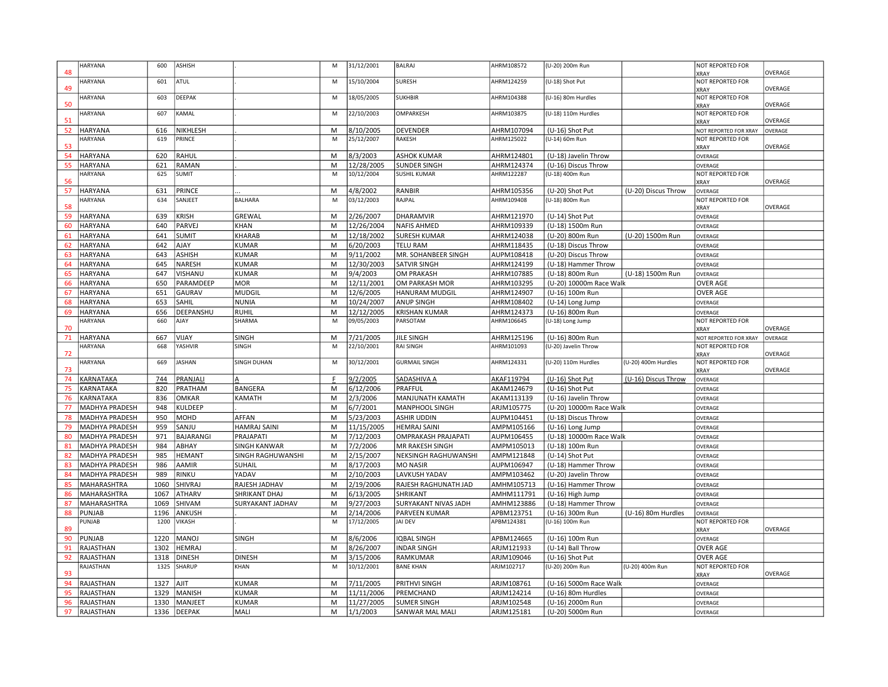| 48       | <b>HARYANA</b>                          | 600          | ASHISH                   |                                          | M      | 31/12/2001             | <b>BALRAJ</b>                           | AHRM108572               | (U-20) 200m Run                      |                     | NOT REPORTED FOR<br><b>XRAY</b> | OVERAGE |
|----------|-----------------------------------------|--------------|--------------------------|------------------------------------------|--------|------------------------|-----------------------------------------|--------------------------|--------------------------------------|---------------------|---------------------------------|---------|
| 49       | <b>HARYANA</b>                          | 601          | ATUL                     |                                          | M      | 15/10/2004             | <b>SURESH</b>                           | AHRM124259               | (U-18) Shot Put                      |                     | NOT REPORTED FOR                | OVERAGE |
|          | <b>HARYANA</b>                          | 603          | DEEPAK                   |                                          | M      | 18/05/2005             | <b>SUKHBIR</b>                          | AHRM104388               | (U-16) 80m Hurdles                   |                     | KRAY<br>NOT REPORTED FOR        |         |
| 50       | HARYANA                                 | 607          | KAMAL                    |                                          | M      | 22/10/2003             | <b>OMPARKESH</b>                        | AHRM103875               | (U-18) 110m Hurdles                  |                     | <b>KRAY</b><br>NOT REPORTED FOR | OVERAGE |
| 51       |                                         |              |                          |                                          |        |                        |                                         |                          |                                      |                     | <b>KRAY</b>                     | OVERAGE |
| 52       | HARYANA                                 | 616          | NIKHLESH                 |                                          | M      | 8/10/2005              | <b>DEVENDER</b>                         | AHRM107094               | (U-16) Shot Put                      |                     | NOT REPORTED FOR XRAY           | OVERAGE |
| 53       | <b>HARYANA</b>                          | 619          | PRINCE                   |                                          | M      | 25/12/2007             | RAKESH                                  | AHRM125022               | (U-14) 60m Run                       |                     | NOT REPORTED FOR<br>XRAY        | OVERAGE |
| 54       | HARYANA                                 | 620          | RAHUL                    |                                          | M      | 8/3/2003               | <b>ASHOK KUMAR</b>                      | AHRM124801               | (U-18) Javelin Throw                 |                     | OVERAGE                         |         |
| 55       | <b>HARYANA</b>                          | 621          | RAMAN                    |                                          | M      | 12/28/2005             | <b>SUNDER SINGH</b>                     | AHRM124374               | (U-16) Discus Throw                  |                     | OVERAGE                         |         |
|          | HARYANA                                 | 625          | SUMIT                    |                                          | M      | 10/12/2004             | <b>SUSHIL KUMAR</b>                     | AHRM122287               | (U-18) 400m Run                      |                     | NOT REPORTED FOR                |         |
| 56       |                                         |              |                          |                                          |        |                        |                                         |                          |                                      |                     | <b>KRAY</b>                     | OVERAGE |
| 57       | <b>HARYANA</b>                          | 631          | PRINCE                   |                                          | M      | 4/8/2002               | RANBIR                                  | AHRM105356               | (U-20) Shot Put                      | (U-20) Discus Throw | OVERAGE                         |         |
| 58       | <b>HARYANA</b>                          | 634          | SANJEET                  | <b>BALHARA</b>                           | M      | 03/12/2003             | RAJPAL                                  | AHRM109408               | (U-18) 800m Run                      |                     | NOT REPORTED FOR                |         |
| 59       | HARYANA                                 | 639          | <b>KRISH</b>             | GREWAL                                   | M      | 2/26/2007              | DHARAMVIR                               | AHRM121970               | (U-14) Shot Put                      |                     | <b>XRAY</b><br>OVERAGE          | OVERAGE |
| 60       | HARYANA                                 | 640          | PARVEJ                   | <b>KHAN</b>                              | M      | 12/26/2004             | <b>NAFIS AHMED</b>                      | AHRM109339               | (U-18) 1500m Run                     |                     | OVERAGE                         |         |
| 61       | HARYANA                                 | 641          | <b>SUMIT</b>             | <b>KHARAB</b>                            | M      | 12/18/2002             | <b>SURESH KUMAR</b>                     | AHRM124038               | (U-20) 800m Run                      | (U-20) 1500m Run    | OVERAGE                         |         |
| 62       | HARYANA                                 | 642          | <b>AJAY</b>              | <b>KUMAR</b>                             | M      | 6/20/2003              | <b>TELU RAM</b>                         | AHRM118435               | (U-18) Discus Throw                  |                     | OVERAGE                         |         |
| 63       | HARYANA                                 | 643          | <b>ASHISH</b>            | <b>KUMAR</b>                             | M      | 9/11/2002              | MR. SOHANBEER SINGH                     | AUPM108418               | (U-20) Discus Throw                  |                     | OVERAGE                         |         |
| 64       | HARYANA                                 | 645          | NARESH                   | <b>KUMAR</b>                             | M      | 12/30/2003             | <b>SATVIR SINGH</b>                     | AHRM124199               | (U-18) Hammer Throw                  |                     | OVERAGE                         |         |
| 65       | HARYANA                                 | 647          | VISHANU                  | <b>KUMAR</b>                             | M      | 9/4/2003               | OM PRAKASH                              | AHRM107885               | (U-18) 800m Run                      | (U-18) 1500m Run    | OVERAGE                         |         |
| 66       | HARYANA                                 | 650          | PARAMDEEP                | <b>MOR</b>                               | M      | 12/11/2001             | OM PARKASH MOR                          | AHRM103295               | (U-20) 10000m Race Walk              |                     | OVER AGE                        |         |
| 67       | HARYANA                                 | 651          | GAURAV                   | <b>MUDGIL</b>                            | M      | 12/6/2005              | <b>HANURAM MUDGIL</b>                   | AHRM124907               | (U-16) 100m Run                      |                     | <b>OVER AGE</b>                 |         |
| 68       | HARYANA                                 | 653          | SAHIL                    | <b>NUNIA</b>                             | M      | 10/24/2007             | ANUP SINGH                              | AHRM108402               | (U-14) Long Jump                     |                     | OVERAGE                         |         |
| 69       | HARYANA                                 | 656          | DEEPANSHU                | <b>RUHIL</b>                             | M      | 12/12/2005             | <b>KRISHAN KUMAR</b>                    | AHRM124373               | (U-16) 800m Run                      |                     | OVERAGE                         |         |
|          | HARYANA                                 | 660          | AJAY                     | SHARMA                                   | M      | 09/05/2003             | PARSOTAM                                | AHRM106645               | (U-18) Long Jump                     |                     | NOT REPORTED FOR                |         |
| 70       |                                         |              |                          |                                          |        |                        |                                         |                          |                                      |                     | <b>KRAY</b>                     | OVERAGE |
| 71       | HARYANA                                 | 667          | VIJAY                    | <b>SINGH</b>                             | M      | 7/21/2005              | <b>JILE SINGH</b>                       | AHRM125196               | (U-16) 800m Run                      |                     | NOT REPORTED FOR XRAY           | OVERAGE |
|          |                                         |              |                          |                                          |        |                        |                                         |                          |                                      |                     |                                 |         |
|          | <b>HARYANA</b>                          | 668          | YASHVIR                  | SINGH                                    | M      | 22/10/2001             | <b>RAI SINGH</b>                        | AHRM101093               | (U-20) Javelin Throw                 |                     | NOT REPORTED FOR                |         |
| 72       | <b>HARYANA</b>                          | 669          | <b>JASHAN</b>            | SINGH DUHAN                              | M      | 30/12/2001             | <b>GURMAIL SINGH</b>                    | AHRM124331               | (U-20) 110m Hurdles                  | (U-20) 400m Hurdles | <b>KRAY</b><br>NOT REPORTED FOR | OVERAGE |
| 73       |                                         |              |                          |                                          |        |                        |                                         |                          |                                      |                     | XRAY                            | OVERAGE |
| 74       | <b><i>KARNATAKA</i></b>                 | 744          | PRANJALI                 |                                          |        | 9/2/2005               | SADASHIVA A                             | AKAF119794               | (U-16) Shot Put                      | (U-16) Discus Throw | OVERAGE                         |         |
| 75       | KARNATAKA                               | 820          | PRATHAM                  | <b>BANGERA</b>                           | M      | 6/12/2006              | PRAFFUL                                 | AKAM124679               | (U-16) Shot Put                      |                     | OVERAGE                         |         |
| 76       | KARNATAKA                               | 836          | <b>OMKAR</b>             | KAMATH                                   | M      | 2/3/2006               | MANJUNATH KAMATH                        | AKAM113139               | (U-16) Javelin Throw                 |                     | OVERAGE                         |         |
| 77       | MADHYA PRADESH                          | 948          | KULDEEP                  |                                          | M      | 6/7/2001               | MANPHOOL SINGH                          | ARJM105775               | (U-20) 10000m Race Walk              |                     | OVERAGE                         |         |
| 78       | MADHYA PRADESH                          | 950          | MOHD                     | <b>AFFAN</b>                             | M      | 5/23/2003              | <b>ASHIR UDDIN</b>                      | AUPM104451               | (U-18) Discus Throw                  |                     | OVERAGE                         |         |
| 79       | MADHYA PRADESH                          | 959          | SANJU                    | HAMRAJ SAINI                             | M      | 11/15/2005             | <b>HEMRAJ SAINI</b>                     | AMPM105166               | (U-16) Long Jump                     |                     | OVERAGE                         |         |
| 80       | MADHYA PRADESH                          | 971          | BAJARANGI                | PRAJAPATI                                | M      | 7/12/2003              | OMPRAKASH PRAJAPATI                     | AUPM106455               | (U-18) 10000m Race Walk              |                     | OVERAGE                         |         |
| 81<br>82 | MADHYA PRADESH<br><b>MADHYA PRADESH</b> | 984<br>985   | ABHAY<br>HEMANT          | <b>SINGH KANWAR</b><br>SINGH RAGHUWANSHI | M<br>M | 7/2/2006<br>2/15/2007  | MR RAKESH SINGH<br>NEKSINGH RAGHUWANSHI | AMPM105013<br>AMPM121848 | (U-18) 100m Run<br>(U-14) Shot Put   |                     | OVERAGE<br>OVERAGE              |         |
| 83       | MADHYA PRADESH                          | 986          | AAMIR                    | <b>SUHAIL</b>                            | M      | 8/17/2003              | <b>MO NASIR</b>                         | AUPM106947               | (U-18) Hammer Throw                  |                     | OVERAGE                         |         |
| 84       | MADHYA PRADESH                          | 989          | RINKU                    | YADAV                                    | M      | 2/10/2003              | LAVKUSH YADAV                           | AMPM103462               | (U-20) Javelin Throw                 |                     | OVERAGE                         |         |
| 85       | MAHARASHTRA                             | 1060         | SHIVRAJ                  | RAJESH JADHAV                            | M      | 2/19/2006              | RAJESH RAGHUNATH JAD                    | AMHM105713               | (U-16) Hammer Throw                  |                     | OVERAGE                         |         |
| 86       | MAHARASHTRA                             | 1067         | <b>ATHARV</b>            | SHRIKANT DHAJ                            | M      | 6/13/2005              | SHRIKANT                                | AMHM111791               | (U-16) High Jump                     |                     | OVERAGE                         |         |
| 87       | MAHARASHTRA                             | 1069         | SHIVAM                   | SURYAKANT JADHAV                         | M      | 9/27/2003              | SURYAKANT NIVAS JADH                    | AMHM123886               | (U-18) Hammer Throw                  |                     | OVERAGE                         |         |
| 88       | PUNJAB                                  | 1196         | ANKUSH                   |                                          | M      | 2/14/2006              | PARVEEN KUMAR                           | APBM123751               | (U-16) 300m Run                      | (U-16) 80m Hurdles  | OVERAGE                         |         |
| 89       | <b>UNJAB</b>                            | 1200         | <b>VIKASH</b>            |                                          | M      | 17/12/2005             | <b>JAI DEV</b>                          | APBM124381               | (U-16) 100m Run                      |                     | NOT REPORTED FOR                | OVERAGE |
| 90       | PUNJAB                                  | 1220         | <b>MANOJ</b>             | SINGH                                    | M      | 8/6/2006               | <b>IQBAL SINGH</b>                      | APBM124665               | (U-16) 100m Run                      |                     | <b>KRAY</b><br>OVERAGE          |         |
| 91       | RAJASTHAN                               | 1302         | <b>HEMRAJ</b>            |                                          | M      | 8/26/2007              | <b>INDAR SINGH</b>                      | ARJM121933               | (U-14) Ball Throw                    |                     | <b>OVER AGE</b>                 |         |
| 92       | RAJASTHAN                               | 1318         | <b>DINESH</b>            | <b>DINESH</b>                            | M      | 3/15/2006              | RAMKUMAR                                | ARJM109046               | (U-16) Shot Put                      |                     | <b>OVER AGE</b>                 |         |
|          | RAJASTHAN                               | 1325         | <b>SHARUP</b>            | KHAN                                     | M      | 10/12/2001             | <b>BANE KHAN</b>                        | ARJM102717               | (U-20) 200m Run                      | (U-20) 400m Run     | NOT REPORTED FOR                |         |
| 93       |                                         |              |                          |                                          |        |                        |                                         |                          |                                      |                     | KRAY                            | OVERAGE |
| 94       | RAJASTHAN                               | 1327         | AJIT                     | <b>KUMAR</b>                             | M      | 7/11/2005              | PRITHVI SINGH                           | ARJM108761               | (U-16) 5000m Race Walk               |                     | OVERAGE                         |         |
| 95       | RAJASTHAN                               | 1329         | <b>MANISH</b>            | KUMAR                                    | M      | 11/11/2006             | PREMCHAND                               | ARJM124214               | (U-16) 80m Hurdles                   |                     | OVERAGE                         |         |
| 96<br>97 | RAJASTHAN<br>RAJASTHAN                  | 1330<br>1336 | MANJEET<br><b>DEEPAK</b> | <b>KUMAR</b><br>MALI                     | M<br>M | 11/27/2005<br>1/1/2003 | <b>SUMER SINGH</b><br>SANWAR MAL MALI   | ARJM102548<br>ARJM125181 | (U-16) 2000m Run<br>(U-20) 5000m Run |                     | OVERAGE<br>OVERAGE              |         |